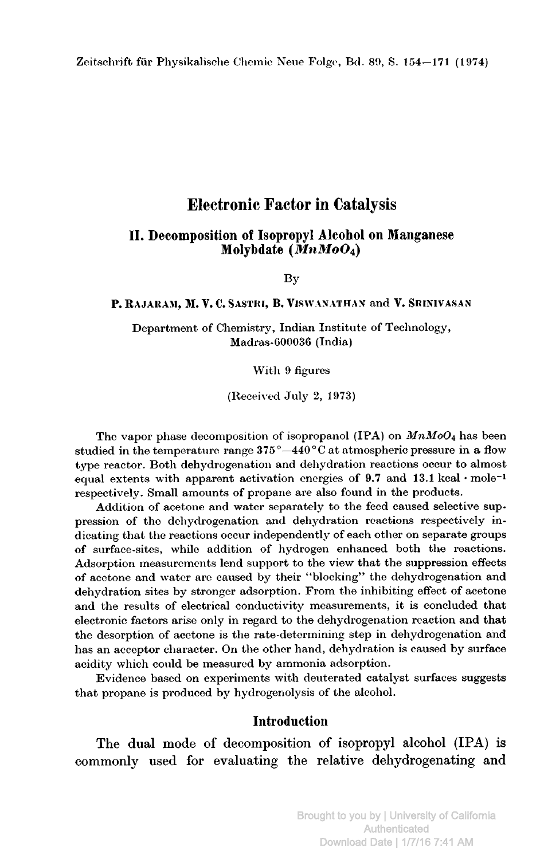# Electronic Factor in Catalysis

## II. Decomposition of Isopropyl Alcohol on Manganese Molybdate  $(\dot{M} n M o O_4)$

By

#### P. RAJARAM, M. V. C. SASTRI, B. VISWANATHAN and V. SRINIVASAN

Department of Chemistry, Indian Institute of Technology, Madras-000036 (India)

With <sup>9</sup> figures

(Received July 2, 1973)

The vapor phase decomposition of isopropanol (IPA) on  $MnM_0O_4$  has been studied in the temperature range  $375^{\circ} - 440^{\circ}$ C at atmospheric pressure in a flow type reactor. Both dehydrogenation and dehydration reactions occur to almost equal extents with apparent activation energies of  $9.7$  and  $13.1$  kcal · mole<sup>-1</sup> respectively. Small amounts of propane are also found in the products.

Addition of acetone and water separately to the feed caused selective suppression of the dehydrogenation and dehydration reactions respectively indicating that the reactions occur independently of each other on separate groups of surface-sites, while addition of hydrogen enhanced both the reactions. Adsorption measurements lend support to the view that the suppression effects of acetone and water are caused by their "blocking" the dehydrogenation and dehydration sites by stronger adsorption. From the inhibiting effect of acetone and the results of electrical conductivity measurements, it is concluded that electronic factors arise only in regard to the dehydrogenation reaction and that the desorption of acetone is the rate-determining step in dehydrogenation and has an acceptor character. On the other hand, dehydration is caused by surface acidity which could be measured by ammonia adsorption.

Evidence based on experiments with deuterated catalyst surfaces suggests that propane is produced by hydrogenolysis of the alcohol.

# Introduction

The dual mode of decomposition of isopropyl alcohol (IPA) is commonly used for evaluating the relative dehydrogenating and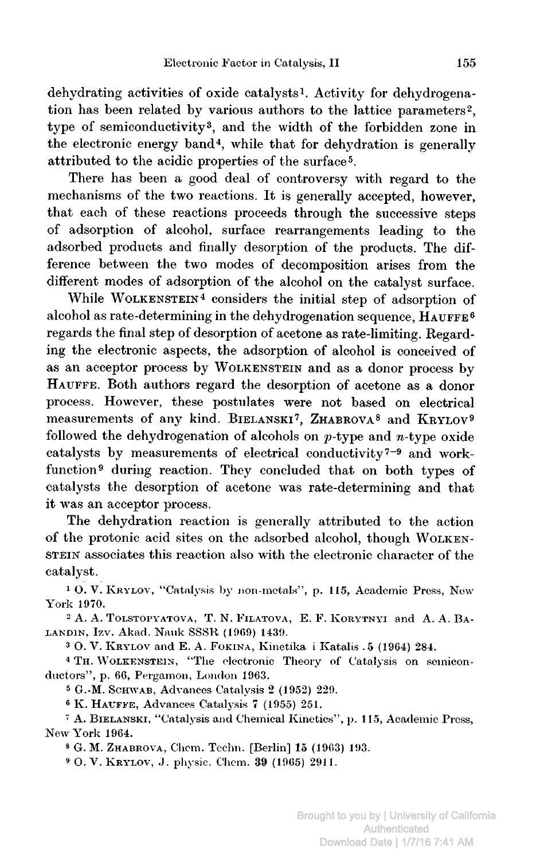dehydrating activities of oxide catalysts1. Activity for dehydrogenation has been related by various authors to the lattice parameters<sup>2</sup>, type of semiconductivity3, and the width of the forbidden zone in the electronic energy band4, while that for dehydration is generally attributed to the acidic properties of the surface5.

There has been <sup>a</sup> good deal of controversy with regard to the mechanisms of the two reactions. It is generally accepted, however, that each of these reactions proceeds through the successive steps of adsorption of alcohol, surface rearrangements leading to the adsorbed products and finally desorption of the products. The difference between the two modes of decomposition arises from the different modes of adsorption of the alcohol on the catalyst surface.

While WOLKENSTEIN<sup>4</sup> considers the initial step of adsorption of alcohol as rate-determining in the dehydrogenation sequence,  $\hat{H}_{\text{AUFFE}}$ <sup>6</sup> regards the final step of desorption of acetone as rate-limiting. Regarding the electronic aspects, the adsorption of alcohol is conceived of as an acceptor process by Wolkenstein and as <sup>a</sup> donor process by HAUFFE. Both authors regard the desorption of acetone as a donor process. However, these postulates were not based on electrical measurements of any kind. BIELANSKI<sup>7</sup>, ZHABROVA<sup>8</sup> and KRYLOV<sup>9</sup> followed the dehydrogenation of alcohols on  $p$ -type and  $n$ -type oxide catalysts by measurements of electrical conductivity<sup>7-9</sup> and workfunction<sup>9</sup> during reaction. They concluded that on both types of catalysts the desorption of acetone was rate-determining and that it was an acceptor process.

The dehydration reaction is generally attributed to the action of the protonic acid sites on the adsorbed alcohol, though Wolkenstein associates this reaction also with the electronic character of the catalyst.

<sup>1</sup> O. V. Krylov, "Catalysis by non-metals", p. 115, Academic Press, New-York 1970.

<sup>2</sup> A. A. Tolstopyatova, T. N. Filatova, E. F. Korytnyi and A. A. Balandin, Izv. Akad. Nauk SSSR (1969) 1439.

<sup>3</sup> O. V. Krylov and E. A. Fokina, Kinetika i Katalis . <sup>5</sup> (1964) 284.

<sup>4</sup> Th. Wolkenstein, "The electronic Theory of Catalysis on semiconductors", p. 66, Pergamon, London 1963.

<sup>s</sup> G.-M. Schwab, Advances Catalysis <sup>2</sup> (1952) 229.

<sup>6</sup> K. Hattffe, Advances Catalysis <sup>7</sup> (1955) 251.

<sup>7</sup> A. Bielanski, "Catalysis and Chemical Kinetics", p. 115, Academic Press, New York 1964.

<sup>8</sup> G. M. ZHABROVA, Chem. Techn. [Berlin] 15 (1963) 193.

<sup>3</sup> O. V. Krylov, J. physic. Chem. <sup>39</sup> (1965) 2911.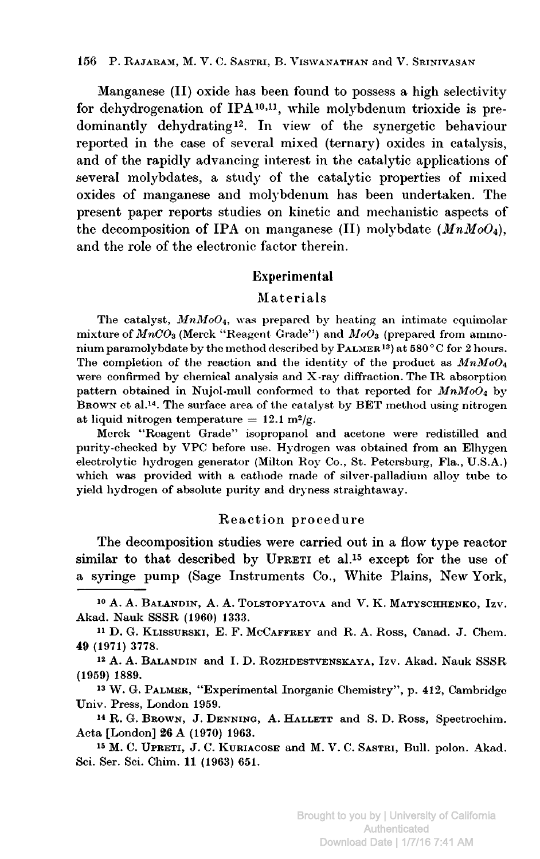Manganese (II) oxide has been found to possess <sup>a</sup> high selectivity for dehydrogenation of IPA<sup>10,11</sup>, while molybdenum trioxide is predominantly dehydrating12. In view of the synergetic behaviour reported in the case of several mixed (ternary) oxides in catalysis, and of the rapidly advancing interest in the catalytic applications of several molybdates, <sup>a</sup> study of the catalytic properties of mixed oxides of manganese and molybdenum has been undertaken. The present paper reports studies on kinetic and mechanistic aspects of the decomposition of IPA on manganese (II) molybdate  $(MnMoO<sub>4</sub>)$ , and the role of the electronic factor therein.

#### Experimental

#### Materials

The catalyst,  $MnMoO<sub>4</sub>$ , was prepared by heating an intimate equimolar mixture of  $MnCO_3$  (Merck "Reagent Grade") and  $MoO_3$  (prepared from ammonium paramolybdate by the method described by  $\text{PALMER}^{13}$  at  $580^{\circ}$ C for 2 hours. The completion of the reaction and the identity of the product as  $MnM_0O_4$ were confirmed by chemical analysis and X-ray diffraction. The IR absorption pattern obtained in Nujol-mull conformed to that reported for  $MnMod<sub>4</sub>$  by Brown et al.14. The surface area of the catalyst by BET method using nitrogen at liquid nitrogen temperature =  $12.1 \text{ m}^2/\text{g}$ .

Merck "Reagent Grade" isopropanol and acetone were redistilled and purity-checked by VPC before use. Hydrogen was obtained from an Elhygen electrolytic hydrogen generator (Milton Roy Co., St. Petersburg, Fla., U.S.A.) which was provided with <sup>a</sup> cathode made of silver-palladium alloy tube to yield hydrogen of absolute purity and dryness straightaway.

#### Reaction procedure

The decomposition studies were carried out in <sup>a</sup> flow type reactor similar to that described by UPRETI et al.<sup>15</sup> except for the use of <sup>a</sup> syringe pump (Sage Instruments Co., White Plains, New York,

<sup>10</sup> A. A. Balandin, A. A. Tolstopyatova and V. K. Matyschhenko, Izv. Akad. Nauk SSSR (1960) 1333.

<sup>11</sup> D. G. Klissurski, E. F. McCaffrey and R. A. Ross, Canad. J. Chem. 49 (1971) 3778.

<sup>12</sup> A. A. Balandin and I, D. Rozhdestvenskaya, Izv. Akad. Nauk SSSR (1959) 1889.

<sup>13</sup> W. G. Palmer, "Experimental Inorganic Chemistry", p. 412, Cambridge Univ. Press, London 1959.

<sup>&</sup>lt;sup>14</sup> R. G. Brown, J. DENNING, A. HALLETT and S. D. Ross, Spectrochim. Acta [London] <sup>26</sup> A (1970) 1963.

<sup>15</sup> M. C. Upreti, J. C. Kuriacose and M. V. C. Sastri, Bull, polon. Akad. Sci. Ser. Sci. Chim. 11 (1963) 651.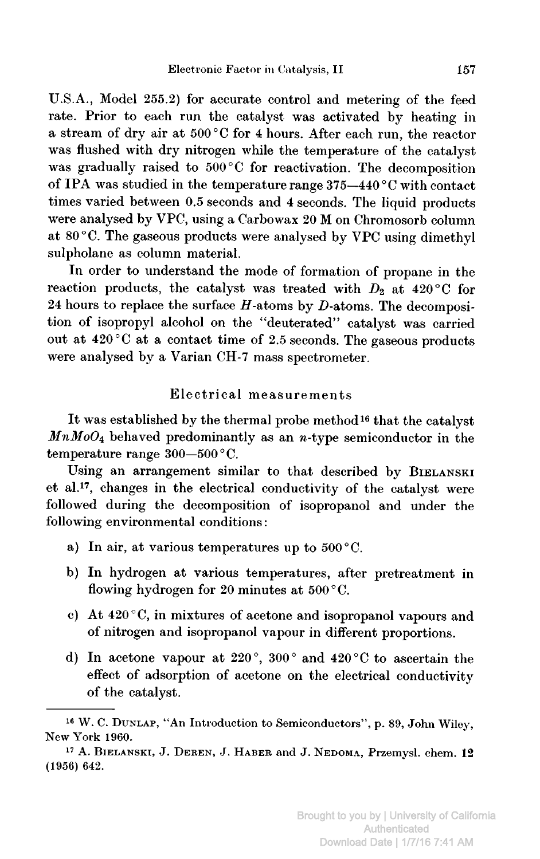U.S.A., Model 255.2) for accurate control and metering of the feed rate. Prior to each run the catalyst was activated by heating in <sup>a</sup> stream of dry air at <sup>500</sup> °C for <sup>4</sup> hours. After each run, the reactor was flushed with dry nitrogen while the temperature of the catalyst was gradually raised to <sup>500</sup> °C for reactivation. The decomposition of IPA was studied in the temperature range 375—440° <sup>C</sup> with contact times varied between 0.5 seconds and <sup>4</sup> seconds. The liquid products were analysed by VPC, using <sup>a</sup> Carbowax <sup>20</sup> M on Chromosorb column at <sup>80</sup> °C. The gaseous products were analysed by VPC using dimethyl sulpholane as column material.

In order to understand the mode of formation of propane in the reaction products, the catalyst was treated with  $D_2$  at 420 °C for 24 hours to replace the surface  $H$ -atoms by  $D$ -atoms. The decomposition of isopropyl alcohol on the "deuterated" catalyst was carried out at  $420\degree C$  at a contact time of 2.5 seconds. The gaseous products were analysed by <sup>a</sup> Varian CH-7 mass spectrometer.

# Electrical measurements

It was established by the thermal probe method16 that the catalyst  $MnMoO<sub>4</sub>$  behaved predominantly as an n-type semiconductor in the temperature range 300—500 °C.

Using an arrangement similar to that described by BIELANSKI et al.17, changes in the electrical conductivity of the catalyst were followed during the decomposition of isopropanol and under the following environmental conditions :

- a) In air, at various temperatures up to  $500^{\circ}$ C.
- b) In hydrogen at various temperatures, after pretreatment in flowing hydrogen for 20 minutes at 500 °C.
- c) At <sup>420</sup> °C, in mixtures of acetone and isopropanol vapours and of nitrogen and isopropanol vapour in different proportions.
- d) In acetone vapour at 220°, 300° and <sup>420</sup> °C to ascertain the effect of adsorption of acetone on the electrical conductivity of the catalyst.

<sup>16</sup> W. C. Dunlap, "An Introduction to Semiconductors", p. 89, John Wiley, New York 1960.

<sup>17</sup> A. Bielanski, J. Deren, J. Haber and J. Nedoma, Przemysl. chem. <sup>12</sup> (1956) 642.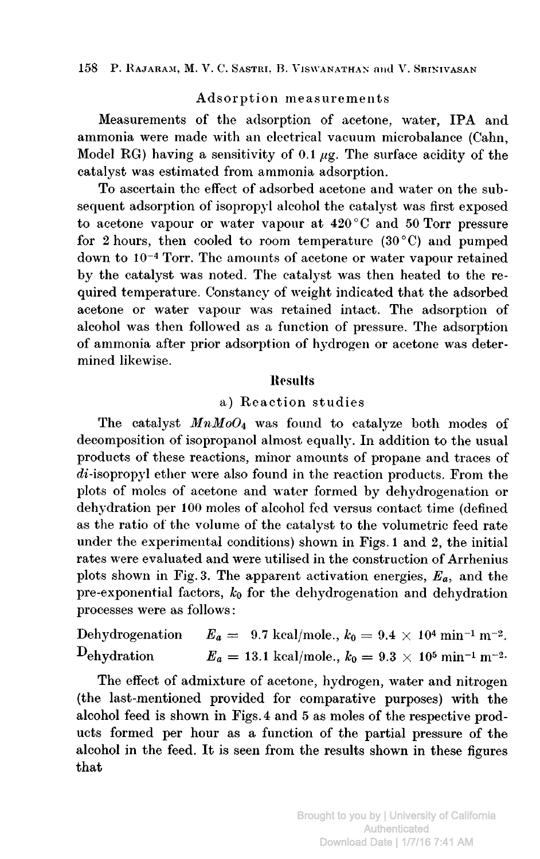## Adsorption measurements

Measurements of the adsorption of acetone, water, IPA and ammonia were made with an electrical vacuum microbalance (Cahn, Model RG) having a sensitivity of 0.1  $\mu$ g. The surface acidity of the catalyst was estimated from ammonia adsorption.

To ascertain the effect of adsorbed acetone and water on the subsequent adsorption of isopropyl alcohol the catalyst was first exposed to acetone vapour or water vapour at <sup>420</sup> ° <sup>C</sup> and <sup>50</sup> Torr pressure for 2 hours, then cooled to room temperature  $(30^{\circ}C)$  and pumped down to 10~4 Torr. The amounts of acetone or water vapour retained by the catalyst was noted. The catalyst was then heated to the required temperature. Constancy of weight indicated that the adsorbed acetone or water vapour was retained intact. The adsorption of alcohol was then followed as <sup>a</sup> function of pressure. The adsorption of ammonia after prior adsorption of hydrogen or acetone was determined likewise.

## Results

## a) Reaction studies

The catalyst  $MnMoO<sub>4</sub>$  was found to catalyze both modes of decomposition of isopropanol almost equally. In addition to the usual products of these reactions, minor amounts of propane and traces of  $\overline{di}$ -isopropyl ether were also found in the reaction products. From the plots of moles of acetone and water formed by dehydrogenation or dehydration per <sup>100</sup> moles of alcohol fed versus contact time (defined as the ratio of the volume of the catalyst to the volumetric feed rate under the experimental conditions) shown in Figs. <sup>1</sup> and 2, the initial rates were evaluated and were utilised in the construction of Arrhenius plots shown in Fig. 3. The apparent activation energies,  $E_a$ , and the pre-exponential factors,  $k_0$  for the dehydrogenation and dehydration processes were as follows :

Dehydrogenation  $E_a = 9.7 \text{ kcal/mole.}$ ,  $k_0 = 9.4 \times 10^4 \text{ min}^{-1} \text{ m}^{-2}$ . Dehydration  $E_a = 13.1 \text{ kcal/mole.}, k_0 = 9.3 \times 10^5 \text{ min}^{-1} \text{ m}^{-2.5}$ 

The effect of admixture of acetone, hydrogen, water and nitrogen (the last-mentioned provided for comparative purposes) with the alcohol feed is shown in Figs. <sup>4</sup> and <sup>5</sup> as moles of the respective products formed per hour as <sup>a</sup> function of the partial pressure of the alcohol in the feed. It is seen from the results shown in these figures that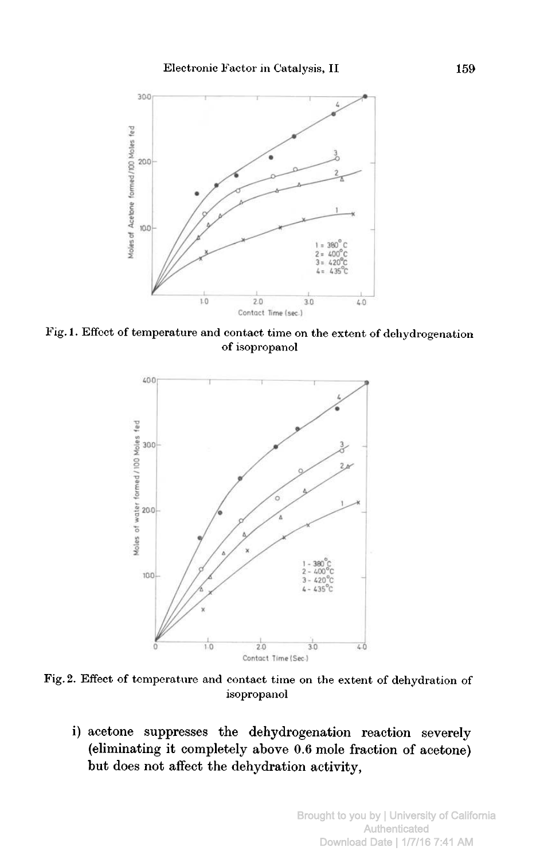

Fig. 1. Effect of temperature and contact time on the extent of dehydrogenation of isopropanol



Fig. 2. Effect of temperature and contact time on the extent of dehydration of isopropanol

i) acetone suppresses the dehydrogenation reaction severely (eliminating it completely above 0.6 mole fraction of acetone) but does not affect the dehydration activity,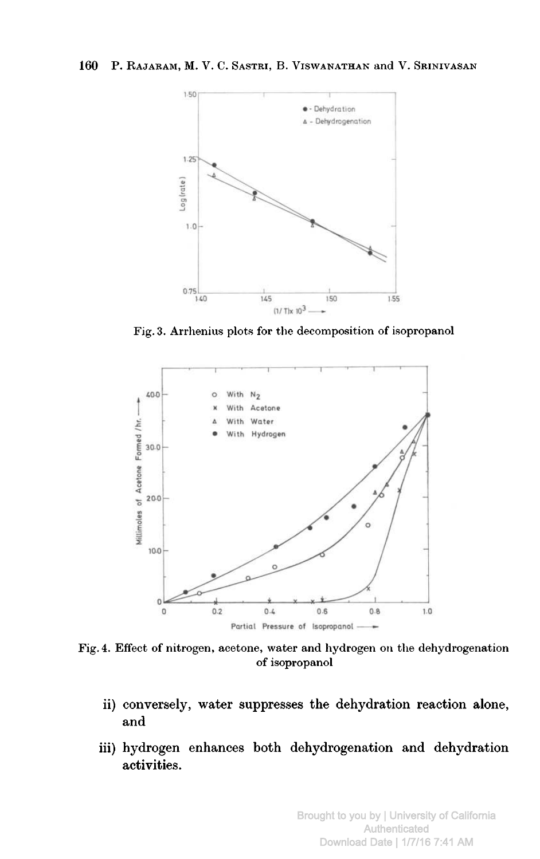

Fig. 3. Arrhenius plots for the decomposition of isopropanol



Fig. 4. Effect of nitrogen, acetone, water and hydrogen on the dehydrogenation of isopropanol

- ii) conversely, water suppresses the dehydration reaction alone, and
- iii) hydrogen enhances both dehydrogenation and dehydration activities.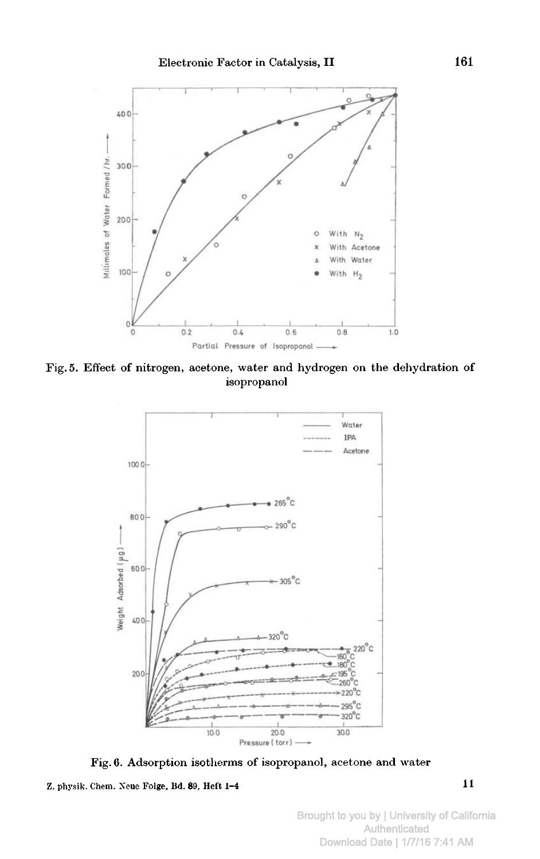

Fig. 5. Effect of nitrogen, acetone, water and hydrogen on the dehydration of isopropanol



Fig. 6. Adsorption isotherms of isopropanol, acetone and water

Z. physik. Chem. Neue Folge, Bd. 89, Heft  $1-4$  1 1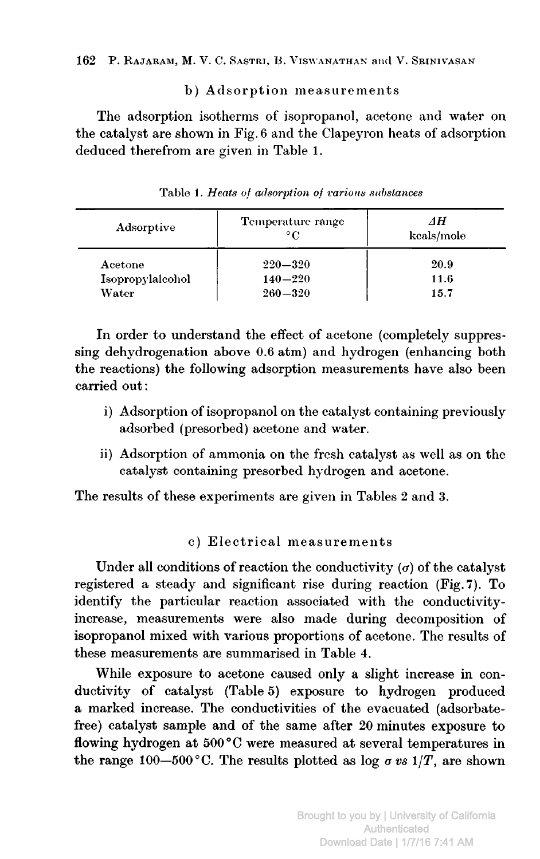## b) Adsorption measurements

The adsorption isotherms of isopropanol, acetone and water on the catalyst are shown in Fig. <sup>6</sup> and the Clapeyron heats of adsorption deduced therefrom are given in Table 1.

| Adsorptive       | Temperature range<br>$^{\circ}C$ | AН<br>kcals/mole |
|------------------|----------------------------------|------------------|
| Acetone          | $220 - 320$                      | 20.9             |
| Isopropylalcohol | $140 - 220$                      | 11.6             |
| Water            | $260 - 320$                      | 15.7             |

Table 1. Heats of adsorption of various substances

In order to understand the effect of acetone (completely suppressing dehydrogenation above 0.6 atm) and hydrogen (enhancing both the reactions) the following adsorption measurements have also been carried out:

- i) Adsorption of isopropanol on the catalyst containing previously adsorbed (presorbed) acetone and water.
- ii) Adsorption of ammonia on the fresh catalyst as well as on the catalyst containing presorbed hydrogen and acetone.

The results of these experiments are given in Tables <sup>2</sup> and 3.

## c) Electrical measurements

Under all conditions of reaction the conductivity  $(\sigma)$  of the catalyst registered <sup>a</sup> steady and significant rise during reaction (Fig. 7). To identify the particular reaction associated with the conductivityincrease, measurements were also made during decomposition of isopropanol mixed with various proportions of acetone. The results of these measurements are summarised in Table 4.

While exposure to acetone caused only <sup>a</sup> slight increase in conductivity of catalyst (Table 5) exposure to hydrogen produced a marked increase. The conductivities of the evacuated (adsorbatefree) catalyst sample and of the same after <sup>20</sup> minutes exposure to flowing hydrogen at <sup>500</sup> °C were measured at several temperatures in the range 100–500 °C. The results plotted as log  $\sigma v s$  1/T, are shown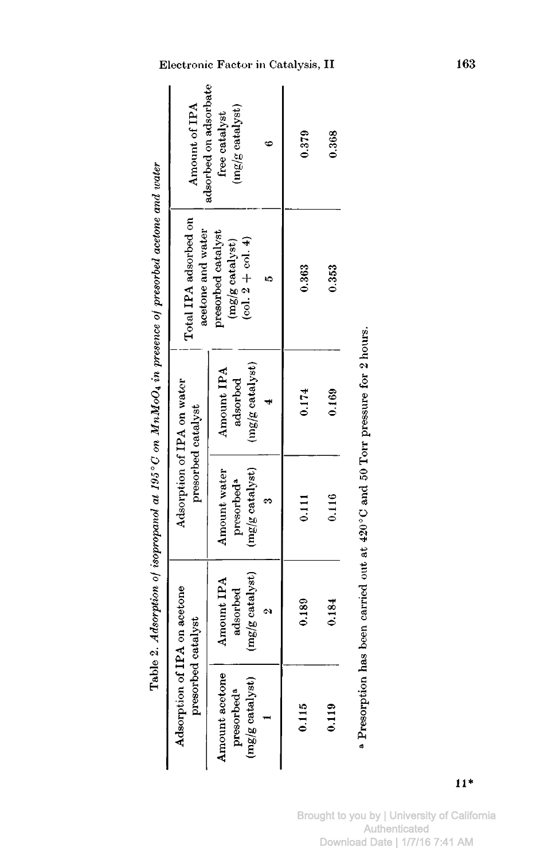|                                                                  | Adsorption of IPA on acetone<br>presorbed catalyst                                       |                                                                | Adsorption of IPA on water<br>presorbed catalyst | Total IPA adsorbed on<br>acetone and water                        | Amount of IPA                                                              |
|------------------------------------------------------------------|------------------------------------------------------------------------------------------|----------------------------------------------------------------|--------------------------------------------------|-------------------------------------------------------------------|----------------------------------------------------------------------------|
| Amount acctone<br>$(mg/g \; catalyst)$<br>presorbed <sup>a</sup> | (mg/g catalyst)<br>Amount IPA<br>adsorbed                                                | $(mg/g \; catalyst)$<br>Amount water<br>presorbed <sup>a</sup> | (mg/g catalyst)<br>Amount IPA<br>adsorbed        | presorbed catalyst<br>$(col. 2 + col. 4)$<br>$(mg/g \; catalyst)$ | adsorbed on adsorbate<br>$(\text{mg/g}\,\text{catalyst})$<br>free catalyst |
|                                                                  |                                                                                          |                                                                |                                                  |                                                                   |                                                                            |
| 0.115                                                            | 0.189                                                                                    | 0.111                                                          | 0.174                                            | 0.363                                                             | 0.379                                                                      |
| 0.119                                                            | 0.184                                                                                    | 0.116                                                          | 0.169                                            | 0.353                                                             | 0.368                                                                      |
|                                                                  | <sup>a</sup> Presorption has been carried out at 420°C and 50 Torr pressure for 2 hours. |                                                                |                                                  |                                                                   |                                                                            |

Table 2. Adsorption of isopropanol at 195°C on  $MnMod$  in presence of presorbed acetone and water

Brought to you by | University of California<br>Authenticated Download Date | 1/7/16 7:41 AM

Electronic Factor in Catalysis, II

163

 $11*$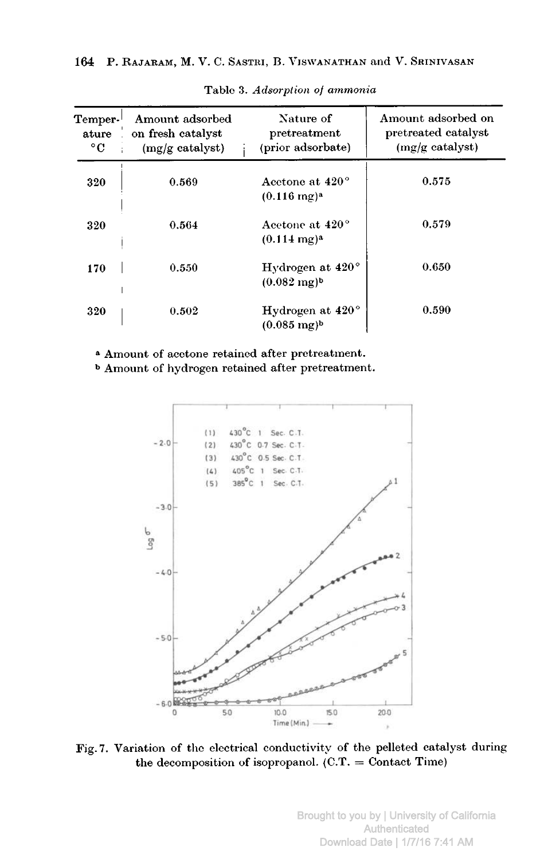| $\mathbf{T}$ emper- $^{\mathsf{I}}$<br>ature<br>$^{\circ}$ C | Amount adsorbed<br>on fresh catalyst<br>(mg/g catalyst) | Nature of<br>pretreatment<br>(prior adsorbate)                 | Amount adsorbed on<br>pretreated catalyst<br>$(mg/g \text{ catalyst})$ |
|--------------------------------------------------------------|---------------------------------------------------------|----------------------------------------------------------------|------------------------------------------------------------------------|
| 320                                                          | 0.569                                                   | Acctone at 420 <sup>°</sup><br>$(0.116 \text{ mg})^{\text{a}}$ | 0.575                                                                  |
| 320                                                          | 0.564                                                   | Acetone at 420°<br>$(0.114 \text{ mg})^2$                      | 0.579                                                                  |
| 170                                                          | 0.550                                                   | Hydrogen at $420^{\circ}$<br>$(0.082 \text{ mg})^b$            | 0.650                                                                  |
| 320                                                          | 0.502                                                   | Hydrogen at $420^{\circ}$<br>$(0.085 \text{ mg})^b$            | 0.590                                                                  |

Table 3. Adsorption of ammonia

<sup>a</sup> Amount of acetone retained after pretreatment.

<sup>b</sup> Amount of hydrogen retained after pretreatment.



Fig. 7. Variation of the electrical conductivity of the pelleted catalyst during the decomposition of isopropanol.  $(C.T. =$  Contact Time)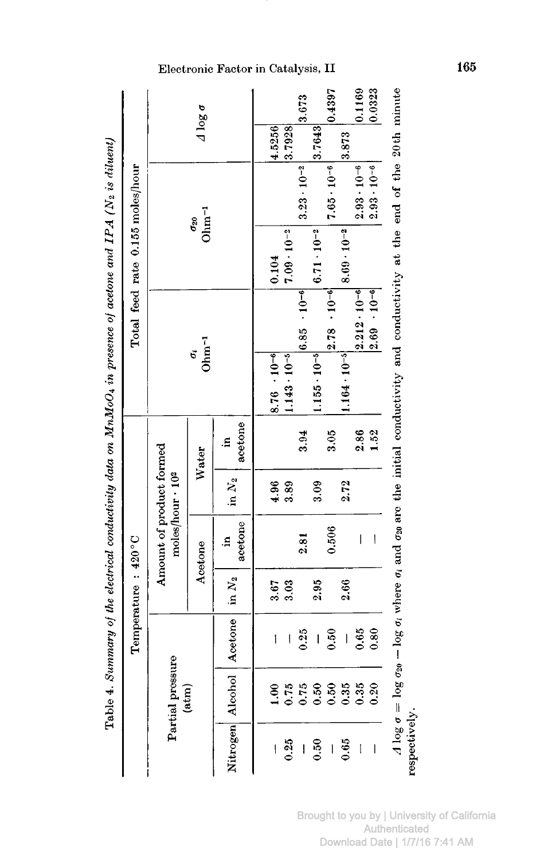| $\ddot{\cdot}$                                                                    |
|-----------------------------------------------------------------------------------|
|                                                                                   |
|                                                                                   |
|                                                                                   |
|                                                                                   |
|                                                                                   |
| $\frac{1}{2}$                                                                     |
| I                                                                                 |
|                                                                                   |
|                                                                                   |
|                                                                                   |
|                                                                                   |
| ֧֖֖֖֧֧֧֧֧֧֧֧֧֧֧֧֧֧ׅ֧֧֧֧֧֧֚֚֚֚֚֚֚֚֚֚֚֚֚֚֚֚֚֚֚֚֝֝֓֝֬֝֬֝֓֝֬֝֓֝֬֓֓֓֓֓֝֬֝֬֜֓֝֬֝֬֝֬֝֬֝֬ |
|                                                                                   |
|                                                                                   |
|                                                                                   |
|                                                                                   |
|                                                                                   |
|                                                                                   |
|                                                                                   |
|                                                                                   |
|                                                                                   |
| l                                                                                 |
|                                                                                   |
|                                                                                   |
|                                                                                   |
|                                                                                   |
|                                                                                   |
|                                                                                   |
|                                                                                   |
|                                                                                   |
|                                                                                   |
|                                                                                   |
|                                                                                   |
|                                                                                   |
|                                                                                   |
|                                                                                   |
|                                                                                   |
|                                                                                   |
|                                                                                   |
| $\ddot{\phantom{a}}$                                                              |
| I                                                                                 |
|                                                                                   |
|                                                                                   |
|                                                                                   |
|                                                                                   |
|                                                                                   |
|                                                                                   |
|                                                                                   |
|                                                                                   |
|                                                                                   |
| 7 co s                                                                            |
|                                                                                   |
|                                                                                   |
|                                                                                   |
|                                                                                   |
|                                                                                   |
|                                                                                   |
|                                                                                   |
|                                                                                   |
|                                                                                   |
|                                                                                   |
|                                                                                   |
|                                                                                   |
|                                                                                   |
|                                                                                   |
|                                                                                   |
|                                                                                   |
|                                                                                   |
|                                                                                   |
|                                                                                   |
|                                                                                   |
|                                                                                   |
|                                                                                   |
|                                                                                   |
|                                                                                   |
|                                                                                   |
| ٦                                                                                 |
|                                                                                   |
|                                                                                   |
|                                                                                   |
|                                                                                   |
|                                                                                   |
|                                                                                   |
|                                                                                   |
|                                                                                   |
|                                                                                   |
|                                                                                   |
| ļ                                                                                 |
|                                                                                   |
|                                                                                   |
| đ                                                                                 |
| 1                                                                                 |
|                                                                                   |
|                                                                                   |
| Tabl<br>Ì                                                                         |

|                          |                  |                                            | Temperature: 420°C |                          |                              |               |                       |                         | Total feed rate 0.155 moles/hour                                                                                                                                  |                          |                 |        |
|--------------------------|------------------|--------------------------------------------|--------------------|--------------------------|------------------------------|---------------|-----------------------|-------------------------|-------------------------------------------------------------------------------------------------------------------------------------------------------------------|--------------------------|-----------------|--------|
|                          | Partial pressure |                                            |                    | Amount of product formed | moles/hour · 10 <sup>2</sup> |               |                       |                         |                                                                                                                                                                   |                          |                 |        |
|                          | (atm)            |                                            |                    | Acetone                  |                              | Water         | $Ohm-1$<br>ö          |                         |                                                                                                                                                                   | $Ohm-1$<br>$\sigma_{20}$ | $1 \log \sigma$ |        |
|                          |                  | Nitrogen Alcohol Acetone in N <sub>2</sub> |                    | acetone<br>£.            | in $N_2$                     | acetone<br>.≊ |                       |                         |                                                                                                                                                                   |                          |                 |        |
| $\overline{\phantom{a}}$ | 00.1             | İ                                          | 3.67               |                          | 4.96                         |               | $8.76 \cdot 10^{-6}$  |                         | 0.104                                                                                                                                                             |                          | 4.5256          |        |
| 0.25                     | 0.75             | I                                          | 3.03               |                          | 3.89                         |               | $1.143 \cdot 10^{-5}$ |                         | $7.09 \cdot 10^{-2}$                                                                                                                                              |                          | 3.7928          |        |
| I                        | 0.75             | 0.25                                       |                    | 2.81                     |                              | 3.94          |                       | $\cdot 10^{-6}$<br>6.85 |                                                                                                                                                                   | $3.23 \cdot 10^{-2}$     |                 | 3.673  |
| 0.50                     | 0.50             | I                                          | 2.95               |                          | 3.09                         |               | $.155 \cdot 10^{-5}$  |                         | $6.71 \cdot 10^{-2}$                                                                                                                                              |                          | 3.7643          |        |
| I                        | 0.50             | 0.50                                       |                    | 0.506                    |                              | 3.05          |                       | $\cdot 10^{-6}$<br>2.78 |                                                                                                                                                                   | $7.65 \cdot 10^{-6}$     |                 | 1,4397 |
| 0.65                     | 0.35             | ۱                                          | 2.66               |                          | 2.72                         |               | $.164 \cdot 10^{-5}$  |                         | $8.69 \cdot 10^{-2}$                                                                                                                                              |                          | 3.873           |        |
| I                        | 0.35             | 0.65                                       |                    | I                        |                              | 2.86          |                       | $2.212 \cdot 10^{-6}$   |                                                                                                                                                                   | $2.93 \cdot 10^{-6}$     |                 | 0.1169 |
| I                        | 0.20             | 0.80                                       |                    | $\overline{\phantom{a}}$ |                              | 1.52          |                       | $2.69 - 10^{-6}$        |                                                                                                                                                                   | $2.93 \cdot 10^{-6}$     |                 | 0.0323 |
|                          |                  |                                            |                    |                          |                              |               |                       |                         | $A \log \sigma = \log \sigma_{20} - \log \sigma_i$ where $\sigma_i$ and $\sigma_{20}$ are the initial conductivity and conductivity at the end of the 20th minute |                          |                 |        |

Electronic Factor in Catalysis, II

respectively.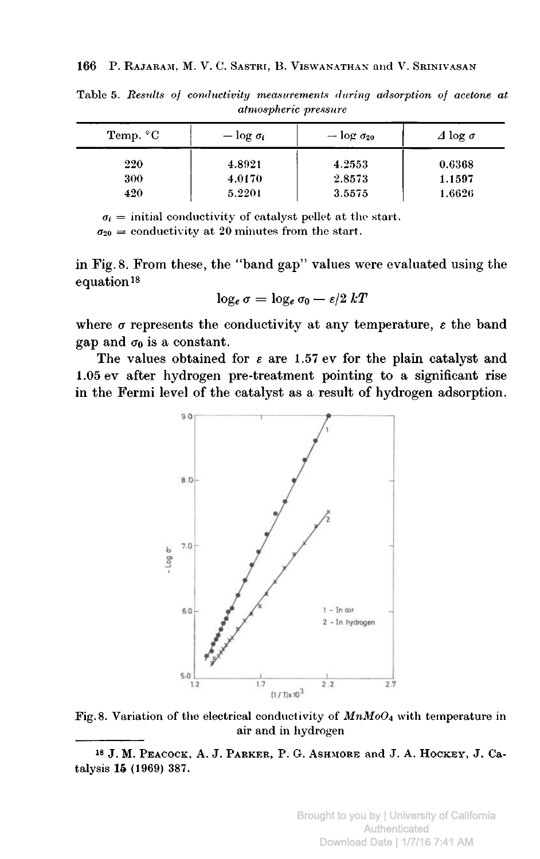| Temp. $\rm ^{\circ}C$ | $-\log \sigma_i$ | $-\log \sigma_{20}$ | $\Delta$ log $\sigma$ |
|-----------------------|------------------|---------------------|-----------------------|
| 220                   | 4.8921           | 4.2553              | 0.6368                |
| 300                   | 4.0170           | 2.8573              | 1.1597                |
| 420                   | 5.2201           | 3.5575              | 1.6626                |

Table 5. Results of conductivity measurements during adsorption of acetone at atmospheric pressure

 $\sigma_i$  = initial conductivity of catalyst pellet at the start.

 $\sigma_{20}$  = conductivity at 20 minutes from the start.

in Fig. 8. From these, the "band gap" values were evaluated using the equation<sup>18</sup>

$$
\log_e \sigma = \log_e \sigma_0 - \epsilon/2 \ kT
$$

where  $\sigma$  represents the conductivity at any temperature,  $\varepsilon$  the band gap and  $\sigma_0$  is a constant.

The values obtained for  $\varepsilon$  are 1.57 ev for the plain catalyst and 1.05 ev after hydrogen pre-treatment pointing to <sup>a</sup> significant rise in the Fermi level of the catalyst as <sup>a</sup> result of hydrogen adsorption.



Fig. 8. Variation of the electrical conductivity of  $MnMoO<sub>4</sub>$  with temperature in air and in hydrogen

<sup>18</sup> J. M. Peacock, A. J. Parker, P. G. Ashmore and J. A. Hockey, J. Catalysis 15 (1969) 387.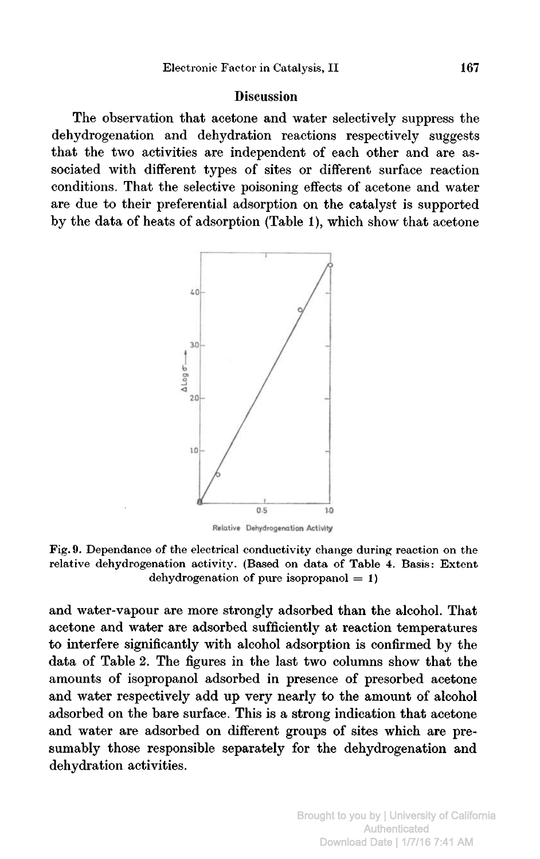#### **Discussion**

The observation that acetone and water selectively suppress the dehydrogenation and dehydration reactions respectively suggests that the two activities are independent of each other and are associated with different types of sites or different surface reaction conditions. That the selective poisoning effects of acetone and water are due to their preferential adsorption on the catalyst is supported by the data of heats of adsorption (Table 1), which show that acetone



Fig. 9. Dépendance of the electrical conductivity change during reaction on the relative dehydrogenation activity. (Based on data of Table 4. Basis: Extent dehydrogenation of pure isopropanol  $= 1$ )

and water-vapour are more strongly adsorbed than the alcohol. That acetone and water are adsorbed sufficiently at reaction temperatures to interfere significantly with alcohol adsorption is confirmed by the data of Table 2. The figures in the last two columns show that the amounts of isopropanol adsorbed in presence of presorbed acetone and water respectively add up very nearly to the amount of alcohol adsorbed on the bare surface. This is <sup>a</sup> strong indication that acetone and water are adsorbed on different groups of sites which are presumably those responsible separately for the dehydrogenation and dehydration activities.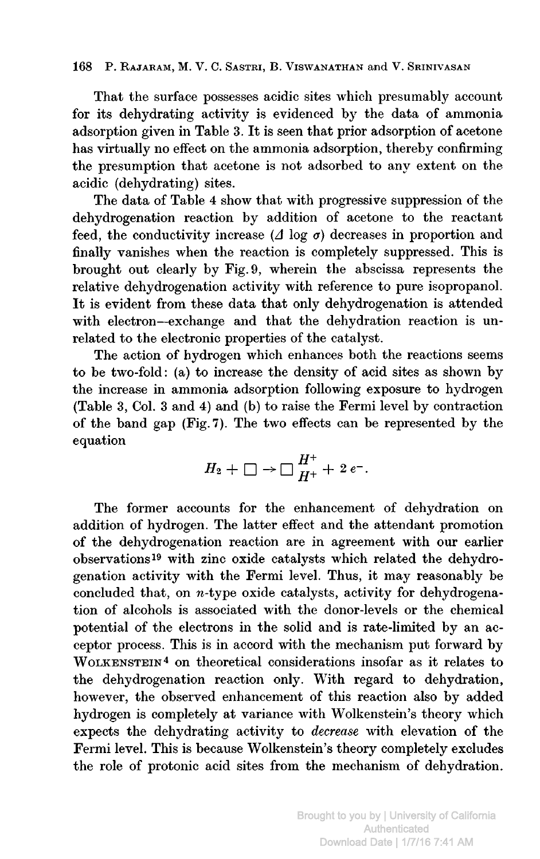#### 168 P. Rajaram, M. V. C. Sastri, B. Viswanathan and V. Srinivasan

That the surface possesses acidic sites which presumably account for its dehydrating activity is evidenced by the data of ammonia adsorption given in Table 3. It is seen that prior adsorption of acetone has virtually no effect on the ammonia adsorption, thereby confirming the presumption that acetone is not adsorbed to any extent on the acidic (dehydrating) sites.

The data of Table <sup>4</sup> show that with progressive suppression of the dehydrogenation reaction by addition of acetone to the reactant feed, the conductivity increase ( $\Delta$  log  $\sigma$ ) decreases in proportion and finally vanishes when the reaction is completely suppressed. This is brought out clearly by Fig. 9, wherein the abscissa represents the relative dehydrogenation activity with reference to pure isopropanol. It is evident from these data that only dehydrogenation is attended with electron—exchange and that the dehydration reaction is unrelated to the electronic properties of the catalyst.

The action of hydrogen which enhances both the reactions seems to be two-fold : (a) to increase the density of acid sites as shown by the increase in ammonia adsorption following exposure to hydrogen (Table 3, Col. <sup>3</sup> and 4) and (b) to raise the Fermi level by contraction of the band gap (Fig. 7). The two effects can be represented by the equation

$$
H_2+\square\to\square\, \frac{H^+}{H^+}+2\,e^-.
$$

The former accounts for the enhancement of dehydration on addition of hydrogen. The latter effect and the attendant promotion of the dehydrogenation reaction are in agreement with our earlier observations19 with zinc oxide catalysts which related the dehydrogenation activity with the Fermi level. Thus, it may reasonably be concluded that, on  $n$ -type oxide catalysts, activity for dehydrogenation of alcohols is associated with the donor-levels or the chemical potential of the electrons in the solid and is rate-limited by an acceptor process. This is in accord with the mechanism put forward by WOLKENSTEIN<sup>4</sup> on theoretical considerations insofar as it relates to the dehydrogenation reaction only. With regard to dehydration, however, the observed enhancement of this reaction also by added hydrogen is completely at variance with Wolkenstein's theory which expects the dehydrating activity to decrease with elevation of the Fermi level. This is because Wolkenstein's theory completely excludes the role of protonic acid sites from the mechanism of dehydration.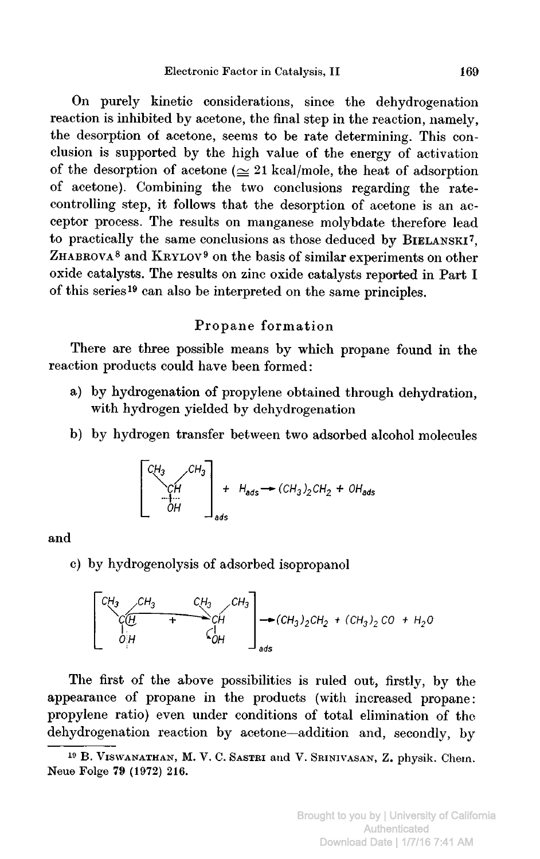On purely kinetic considerations, since the dehydrogenation reaction is inhibited by acetone, the final step in the reaction, namely, the desorption of acetone, seems to be rate determining. This conclusion is supported by the high value of the energy of activation of the desorption of acetone  $(\simeq 21 \text{ kcal/mole}$ , the heat of adsorption of acetone). Combining the two conclusions regarding the ratecontrolling step, it follows that the desorption of acetone is an acceptor process. The results on manganese molybdate therefore lead to practically the same conclusions as those deduced by BIELANSKI7, ZHABROVA<sup>8</sup> and KRYLOV<sup>9</sup> on the basis of similar experiments on other oxide catalysts. The results on zinc oxide catalysts reported in Part I of this series19 can also be interpreted on the same principles.

# Propane formation

There are three possible means by which propane found in the reaction products could have been formed :

- a) by hydrogenation of propylene obtained through dehydration, with hydrogen yielded by dehydrogenation
- b) by hydrogen transfer between two adsorbed alcohol molecules

$$
\begin{bmatrix} CH_3 & CH_3 \ \vdots & \vdots & \vdots \\ CH & \vdots & \vdots \\ CH & \vdots & \vdots \\ CH & \vdots & \vdots \\ CH & \vdots & \vdots \\ CH & \vdots & \vdots \\ \vdots & \vdots & \vdots \\ \vdots & \vdots & \vdots \\ \vdots & \vdots & \vdots \\ \vdots & \vdots & \vdots \\ \vdots & \vdots & \vdots \\ \vdots & \vdots & \vdots \\ \vdots & \vdots & \vdots \\ \vdots & \vdots & \vdots \\ \vdots & \vdots & \vdots \\ \vdots & \vdots & \vdots \\ \vdots & \vdots & \vdots \\ \vdots & \vdots & \vdots \\ \vdots & \vdots & \vdots \\ \vdots & \vdots & \vdots \\ \vdots & \vdots & \vdots \\ \vdots & \vdots & \vdots \\ \vdots & \vdots & \vdots \\ \vdots & \vdots & \vdots \\ \vdots & \vdots & \vdots \\ \vdots & \vdots & \vdots \\ \vdots & \vdots & \vdots \\ \vdots & \vdots & \vdots \\ \vdots & \vdots & \vdots \\ \vdots & \vdots & \vdots \\ \vdots & \vdots & \vdots \\ \vdots & \vdots & \vdots \\ \vdots & \vdots & \vdots \\ \vdots & \vdots & \vdots \\ \vdots & \vdots & \vdots \\ \vdots & \vdots & \vdots \\ \vdots & \vdots & \vdots \\ \vdots & \vdots & \vdots \\ \vdots & \vdots & \vdots \\ \vdots & \vdots & \vdots \\ \vdots & \vdots & \vdots \\ \vdots & \vdots & \vdots \\ \vdots & \vdots & \vdots \\ \vdots & \vdots & \vdots \\ \vdots & \vdots & \vdots \\ \vdots & \vdots & \vdots \\ \vdots & \vdots & \vdots \\ \vdots & \vdots & \vdots \\ \vdots & \vdots & \vdots \\ \vdots & \vdots & \vdots \\ \vdots & \vdots & \vdots \\ \vdots & \vdots & \vdots \\ \vdots & \vdots & \vdots \\ \vdots & \vdots & \vdots \\ \vdots & \vdots & \vdots \\ \vdots & \vdots & \vdots \\ \vdots & \vdots & \vdots \\ \vdots & \vdots & \vdots \\ \vdots & \vdots & \vdots \\ \vdots & \vdots & \vdots \\ \vdots & \vdots & \vdots \\ \vdots & \vdots & \vdots \\ \vdots & \vdots & \vdots \\
$$

## and

c) by hydrogenolysis of adsorbed isopropanol

OH CH3 ~~^C'H ,CH3 OH ~(CH3)2CH2 <sup>+</sup> (CH3)2 CO H20 ads

The first of the above possibilities is ruled out, firstly, by the appearance of propane in the products (with increased propane: propylene ratio) even under conditions of total elimination of the dehydrogenation reaction by acetone—addition and, secondly, by

<sup>19</sup> B. Viswanathan, M. V. C. Sastri and V. Srinivasan, Z. physik. Chem. Neue Folge 79 (1972) 216.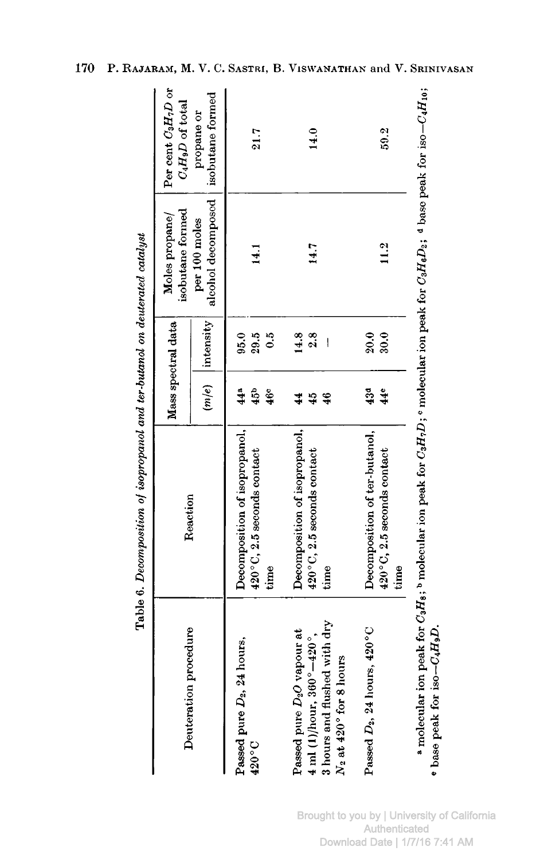|                                                                    |                                    |                 | Mass spectral data | isobutane formed<br>Moles propane/    | Per cent $C_3H_7D$ or<br>$C_4H_9D$ of total |
|--------------------------------------------------------------------|------------------------------------|-----------------|--------------------|---------------------------------------|---------------------------------------------|
| Deuteration procedure                                              | Reaction                           |                 | $(m/e)$ intensity  | alcohol decomposed  <br>per 100 moles | isobutane formed<br>propane or              |
| Passed pure $D_2$ , 24 hours,                                      | Decomposition of isopropanol,      | $44^a$          | 95.0               |                                       |                                             |
| $420\degree$ C                                                     | 420°C, 2.5 seconds contact         | 45 <sup>b</sup> | 29.5               | 14.1                                  | 21.7                                        |
|                                                                    | time                               | 460             | $\ddot{\circ}$     |                                       |                                             |
| Passed pure D <sub>2</sub> O vapour at                             | Decomposition of isopropanol,      |                 | 14.8               |                                       |                                             |
| 4 ml (1)/hour, $360^{\circ} - 420^{\circ}$ ,                       | 420°C, 2.5 seconds contact         | $\frac{45}{4}$  | 2.8                | 14.7                                  | 14.0                                        |
| 3 hours and flushed with dry<br>$N_2$ at 420 $\degree$ for 8 hours | time                               | $\frac{46}{5}$  | I                  |                                       |                                             |
| Passed $D_2$ , 24 hours, 420 $^{\circ}$ C                          | Decomposition of ter-butanol,      | 43 <sup>d</sup> | 20.0               |                                       |                                             |
|                                                                    | 420°C, 2.5 seconds contact<br>time | 44e             | 30.0               | 11.2                                  | 59.2                                        |

Table 6. Decomposition of isopropanol and ter-butanol on deuterated catalust

170 P. RAJARAM, M. V. C. SASTRI, B. VISWANATHAN and V. SRINIVASAN